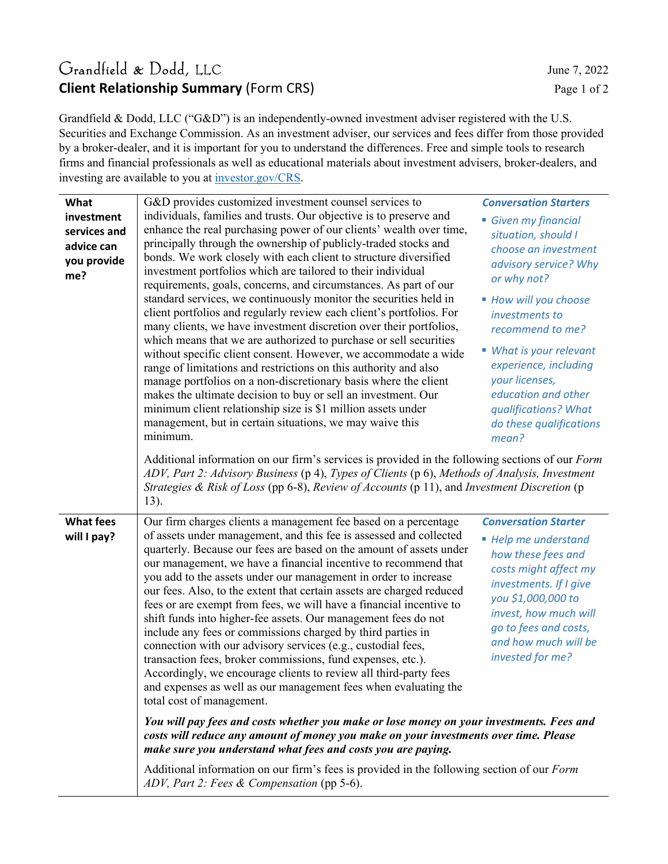### Grandfield & Dodd, LLC June 7, 2022 **Client Relationship Summary** (Form CRS) Page 1 of 2

Grandfield & Dodd, LLC ("G&D") is an independently-owned investment adviser registered with the U.S. Securities and Exchange Commission. As an investment adviser, our services and fees differ from those provided by a broker-dealer, and it is important for you to understand the differences. Free and simple tools to research firms and financial professionals as well as educational materials about investment advisers, broker-dealers, and investing are available to you at investor.gov/CRS.

| What                                                           | G&D provides customized investment counsel services to                                                                                                                                                                                                                                                                                                                                                                                                                                                                                                                                                                                                                                                                                                                                                                                                                                                                                                                                                                                                                                                                                                                                                                                                                                   | <b>Conversation Starters</b>                                                                                                                                                                                                                                                                                                      |  |  |  |
|----------------------------------------------------------------|------------------------------------------------------------------------------------------------------------------------------------------------------------------------------------------------------------------------------------------------------------------------------------------------------------------------------------------------------------------------------------------------------------------------------------------------------------------------------------------------------------------------------------------------------------------------------------------------------------------------------------------------------------------------------------------------------------------------------------------------------------------------------------------------------------------------------------------------------------------------------------------------------------------------------------------------------------------------------------------------------------------------------------------------------------------------------------------------------------------------------------------------------------------------------------------------------------------------------------------------------------------------------------------|-----------------------------------------------------------------------------------------------------------------------------------------------------------------------------------------------------------------------------------------------------------------------------------------------------------------------------------|--|--|--|
| investment<br>services and<br>advice can<br>you provide<br>me? | individuals, families and trusts. Our objective is to preserve and<br>enhance the real purchasing power of our clients' wealth over time,<br>principally through the ownership of publicly-traded stocks and<br>bonds. We work closely with each client to structure diversified<br>investment portfolios which are tailored to their individual<br>requirements, goals, concerns, and circumstances. As part of our<br>standard services, we continuously monitor the securities held in<br>client portfolios and regularly review each client's portfolios. For<br>many clients, we have investment discretion over their portfolios,<br>which means that we are authorized to purchase or sell securities<br>without specific client consent. However, we accommodate a wide<br>range of limitations and restrictions on this authority and also<br>manage portfolios on a non-discretionary basis where the client<br>makes the ultimate decision to buy or sell an investment. Our<br>minimum client relationship size is \$1 million assets under<br>management, but in certain situations, we may waive this<br>minimum.                                                                                                                                                          | Given my financial<br>situation, should I<br>choose an investment<br>advisory service? Why<br>or why not?<br>■ How will you choose<br>investments to<br>recommend to me?<br>■ What is your relevant<br>experience, including<br>your licenses,<br>education and other<br>qualifications? What<br>do these qualifications<br>mean? |  |  |  |
|                                                                | Additional information on our firm's services is provided in the following sections of our Form<br>ADV, Part 2: Advisory Business (p 4), Types of Clients (p 6), Methods of Analysis, Investment<br>Strategies & Risk of Loss (pp 6-8), Review of Accounts (p 11), and Investment Discretion (p<br>13).                                                                                                                                                                                                                                                                                                                                                                                                                                                                                                                                                                                                                                                                                                                                                                                                                                                                                                                                                                                  |                                                                                                                                                                                                                                                                                                                                   |  |  |  |
| <b>What fees</b><br>will I pay?                                | Our firm charges clients a management fee based on a percentage<br>of assets under management, and this fee is assessed and collected<br>quarterly. Because our fees are based on the amount of assets under<br>our management, we have a financial incentive to recommend that<br>you add to the assets under our management in order to increase<br>our fees. Also, to the extent that certain assets are charged reduced<br>fees or are exempt from fees, we will have a financial incentive to<br>shift funds into higher-fee assets. Our management fees do not<br>include any fees or commissions charged by third parties in<br>connection with our advisory services (e.g., custodial fees,<br>transaction fees, broker commissions, fund expenses, etc.).<br>Accordingly, we encourage clients to review all third-party fees<br>and expenses as well as our management fees when evaluating the<br>total cost of management.<br>You will pay fees and costs whether you make or lose money on your investments. Fees and<br>costs will reduce any amount of money you make on your investments over time. Please<br>make sure you understand what fees and costs you are paying.<br>Additional information on our firm's fees is provided in the following section of our Form | <b>Conversation Starter</b><br>■ Help me understand<br>how these fees and<br>costs might affect my<br>investments. If I give<br>you \$1,000,000 to<br>invest, how much will<br>go to fees and costs,<br>and how much will be<br>invested for me?                                                                                  |  |  |  |
|                                                                | ADV, Part 2: Fees & Compensation (pp 5-6).                                                                                                                                                                                                                                                                                                                                                                                                                                                                                                                                                                                                                                                                                                                                                                                                                                                                                                                                                                                                                                                                                                                                                                                                                                               |                                                                                                                                                                                                                                                                                                                                   |  |  |  |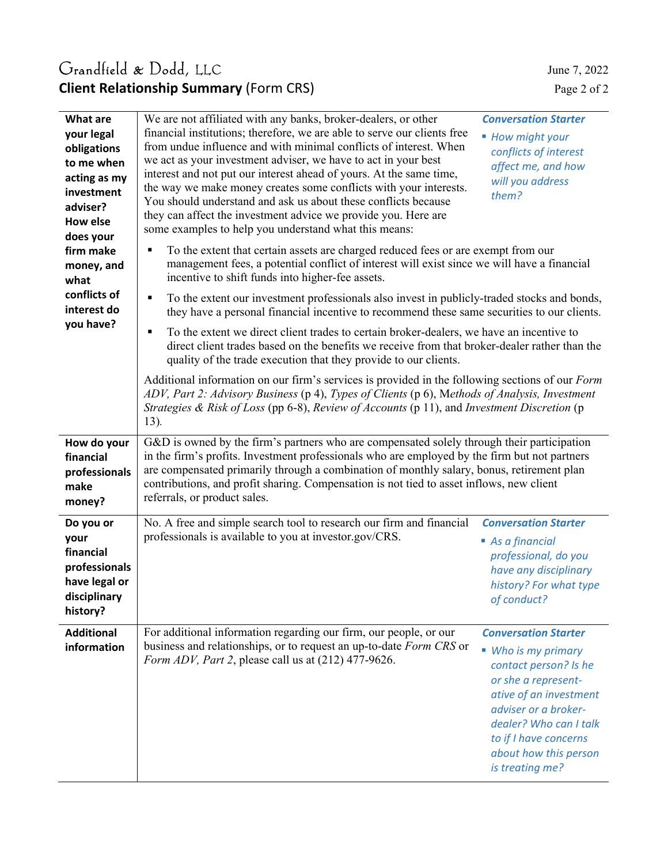## Grandfield & Dodd, LLC June 7, 2022 **Client Relationship Summary** (Form CRS) Page 2 of 2

| <b>What are</b><br>your legal<br>obligations<br>to me when<br>acting as my<br>investment<br>adviser?<br>How else<br>does your<br>firm make<br>money, and<br>what<br>conflicts of<br>interest do<br>you have? | We are not affiliated with any banks, broker-dealers, or other<br>financial institutions; therefore, we are able to serve our clients free<br>from undue influence and with minimal conflicts of interest. When<br>we act as your investment adviser, we have to act in your best<br>interest and not put our interest ahead of yours. At the same time,<br>the way we make money creates some conflicts with your interests.<br>You should understand and ask us about these conflicts because<br>they can affect the investment advice we provide you. Here are<br>some examples to help you understand what this means:<br>To the extent that certain assets are charged reduced fees or are exempt from our<br>٠<br>management fees, a potential conflict of interest will exist since we will have a financial<br>incentive to shift funds into higher-fee assets.<br>To the extent our investment professionals also invest in publicly-traded stocks and bonds,<br>$\blacksquare$<br>they have a personal financial incentive to recommend these same securities to our clients.<br>To the extent we direct client trades to certain broker-dealers, we have an incentive to<br>٠<br>direct client trades based on the benefits we receive from that broker-dealer rather than the<br>quality of the trade execution that they provide to our clients.<br>Additional information on our firm's services is provided in the following sections of our Form<br>ADV, Part 2: Advisory Business (p 4), Types of Clients (p 6), Methods of Analysis, Investment<br>Strategies & Risk of Loss (pp 6-8), Review of Accounts (p 11), and Investment Discretion (p<br>13). | <b>Conversation Starter</b><br>■ How might your<br>conflicts of interest<br>affect me, and how<br>will you address<br>them?                                                                                                                         |  |  |
|--------------------------------------------------------------------------------------------------------------------------------------------------------------------------------------------------------------|--------------------------------------------------------------------------------------------------------------------------------------------------------------------------------------------------------------------------------------------------------------------------------------------------------------------------------------------------------------------------------------------------------------------------------------------------------------------------------------------------------------------------------------------------------------------------------------------------------------------------------------------------------------------------------------------------------------------------------------------------------------------------------------------------------------------------------------------------------------------------------------------------------------------------------------------------------------------------------------------------------------------------------------------------------------------------------------------------------------------------------------------------------------------------------------------------------------------------------------------------------------------------------------------------------------------------------------------------------------------------------------------------------------------------------------------------------------------------------------------------------------------------------------------------------------------------------------------------------------------------------------------------------------------------|-----------------------------------------------------------------------------------------------------------------------------------------------------------------------------------------------------------------------------------------------------|--|--|
| How do your<br>financial<br>professionals<br>make<br>money?                                                                                                                                                  | G&D is owned by the firm's partners who are compensated solely through their participation<br>in the firm's profits. Investment professionals who are employed by the firm but not partners<br>are compensated primarily through a combination of monthly salary, bonus, retirement plan<br>contributions, and profit sharing. Compensation is not tied to asset inflows, new client<br>referrals, or product sales.                                                                                                                                                                                                                                                                                                                                                                                                                                                                                                                                                                                                                                                                                                                                                                                                                                                                                                                                                                                                                                                                                                                                                                                                                                                     |                                                                                                                                                                                                                                                     |  |  |
| Do you or<br>your<br>financial<br>professionals<br>have legal or<br>disciplinary<br>history?                                                                                                                 | No. A free and simple search tool to research our firm and financial<br>professionals is available to you at investor.gov/CRS.                                                                                                                                                                                                                                                                                                                                                                                                                                                                                                                                                                                                                                                                                                                                                                                                                                                                                                                                                                                                                                                                                                                                                                                                                                                                                                                                                                                                                                                                                                                                           | <b>Conversation Starter</b><br>As a financial<br>professional, do you<br>have any disciplinary<br>history? For what type<br>of conduct?                                                                                                             |  |  |
| <b>Additional</b><br>information                                                                                                                                                                             | For additional information regarding our firm, our people, or our<br>business and relationships, or to request an up-to-date Form CRS or<br>Form ADV, Part 2, please call us at (212) 477-9626.                                                                                                                                                                                                                                                                                                                                                                                                                                                                                                                                                                                                                                                                                                                                                                                                                                                                                                                                                                                                                                                                                                                                                                                                                                                                                                                                                                                                                                                                          | <b>Conversation Starter</b><br>• Who is my primary<br>contact person? Is he<br>or she a represent-<br>ative of an investment<br>adviser or a broker-<br>dealer? Who can I talk<br>to if I have concerns<br>about how this person<br>is treating me? |  |  |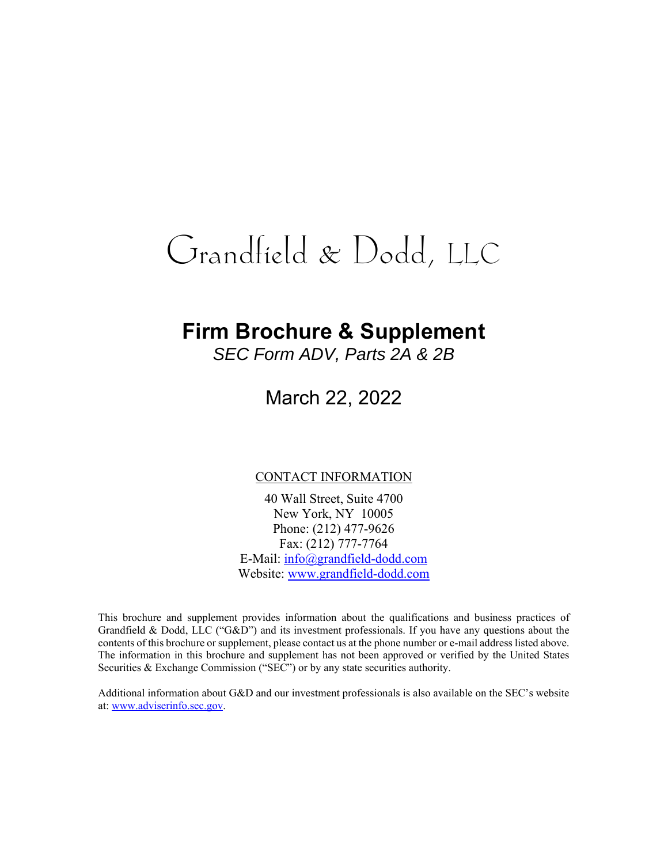# **Firm Brochure & Supplement**

*SEC Form ADV, Parts 2A & 2B* 

March 22, 2022

#### CONTACT INFORMATION

40 Wall Street, Suite 4700 New York, NY 10005 Phone: (212) 477-9626 Fax: (212) 777-7764 E-Mail: info@grandfield-dodd.com Website: www.grandfield-dodd.com

This brochure and supplement provides information about the qualifications and business practices of Grandfield & Dodd, LLC ("G&D") and its investment professionals. If you have any questions about the contents of this brochure or supplement, please contact us at the phone number or e-mail address listed above. The information in this brochure and supplement has not been approved or verified by the United States Securities & Exchange Commission ("SEC") or by any state securities authority.

Additional information about G&D and our investment professionals is also available on the SEC's website at: www.adviserinfo.sec.gov.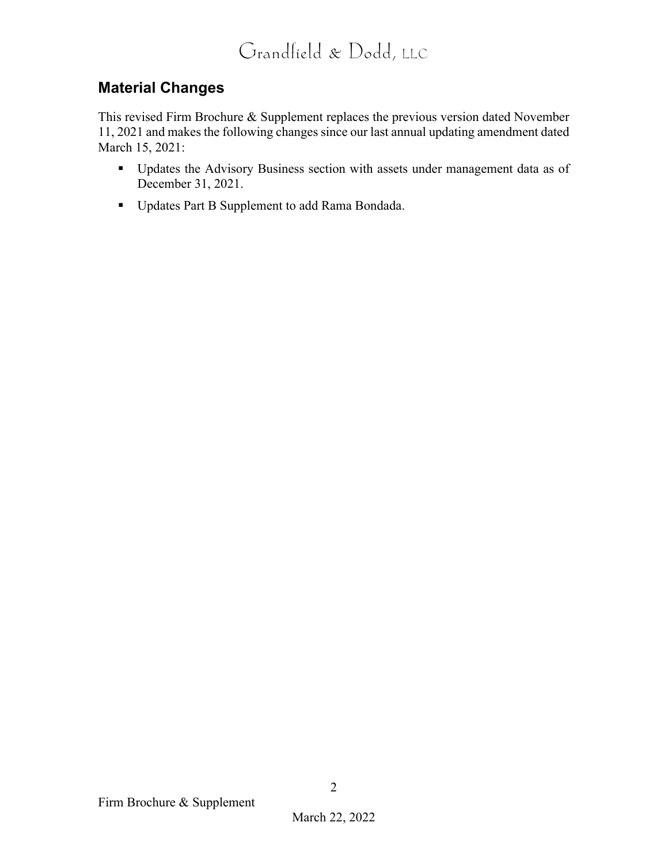### **Material Changes**

This revised Firm Brochure & Supplement replaces the previous version dated November 11, 2021 and makes the following changes since our last annual updating amendment dated March 15, 2021:

- **Updates the Advisory Business section with assets under management data as of** December 31, 2021.
- Updates Part B Supplement to add Rama Bondada.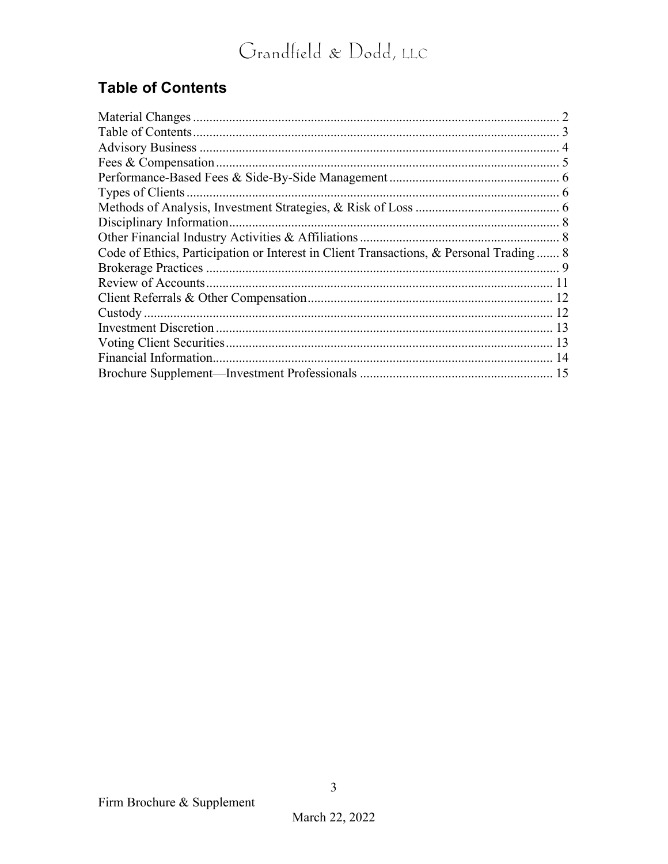# **Table of Contents**

| Code of Ethics, Participation or Interest in Client Transactions, & Personal Trading 8 |  |
|----------------------------------------------------------------------------------------|--|
|                                                                                        |  |
|                                                                                        |  |
|                                                                                        |  |
|                                                                                        |  |
|                                                                                        |  |
|                                                                                        |  |
|                                                                                        |  |
|                                                                                        |  |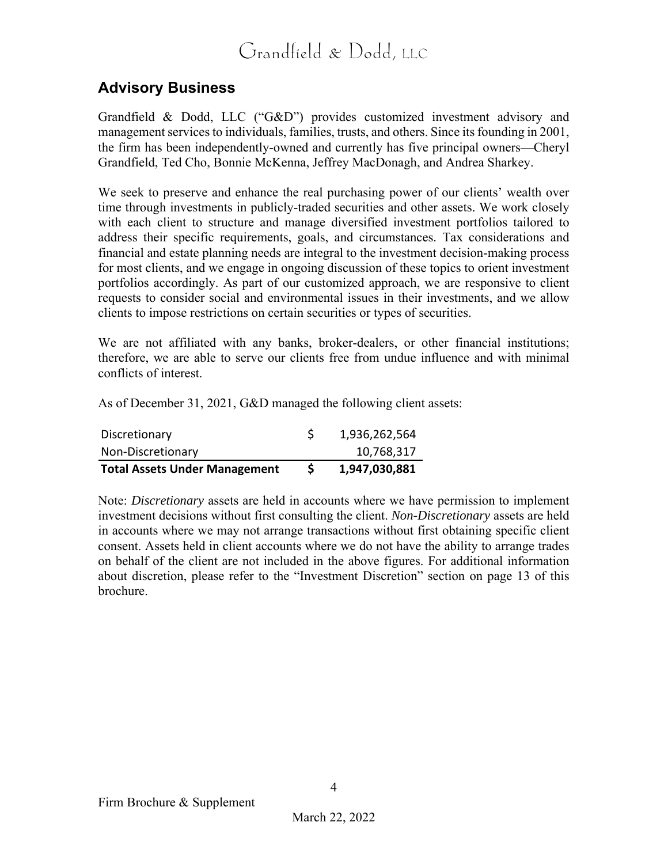### **Advisory Business**

Grandfield & Dodd, LLC ("G&D") provides customized investment advisory and management services to individuals, families, trusts, and others. Since its founding in 2001, the firm has been independently-owned and currently has five principal owners—Cheryl Grandfield, Ted Cho, Bonnie McKenna, Jeffrey MacDonagh, and Andrea Sharkey.

We seek to preserve and enhance the real purchasing power of our clients' wealth over time through investments in publicly-traded securities and other assets. We work closely with each client to structure and manage diversified investment portfolios tailored to address their specific requirements, goals, and circumstances. Tax considerations and financial and estate planning needs are integral to the investment decision-making process for most clients, and we engage in ongoing discussion of these topics to orient investment portfolios accordingly. As part of our customized approach, we are responsive to client requests to consider social and environmental issues in their investments, and we allow clients to impose restrictions on certain securities or types of securities.

We are not affiliated with any banks, broker-dealers, or other financial institutions; therefore, we are able to serve our clients free from undue influence and with minimal conflicts of interest.

As of December 31, 2021, G&D managed the following client assets:

| <b>Total Assets Under Management</b> | 1,947,030,881 |
|--------------------------------------|---------------|
| Non-Discretionary                    | 10,768,317    |
| Discretionary                        | 1,936,262,564 |

Note: *Discretionary* assets are held in accounts where we have permission to implement investment decisions without first consulting the client. *Non-Discretionary* assets are held in accounts where we may not arrange transactions without first obtaining specific client consent. Assets held in client accounts where we do not have the ability to arrange trades on behalf of the client are not included in the above figures. For additional information about discretion, please refer to the "Investment Discretion" section on page 13 of this brochure.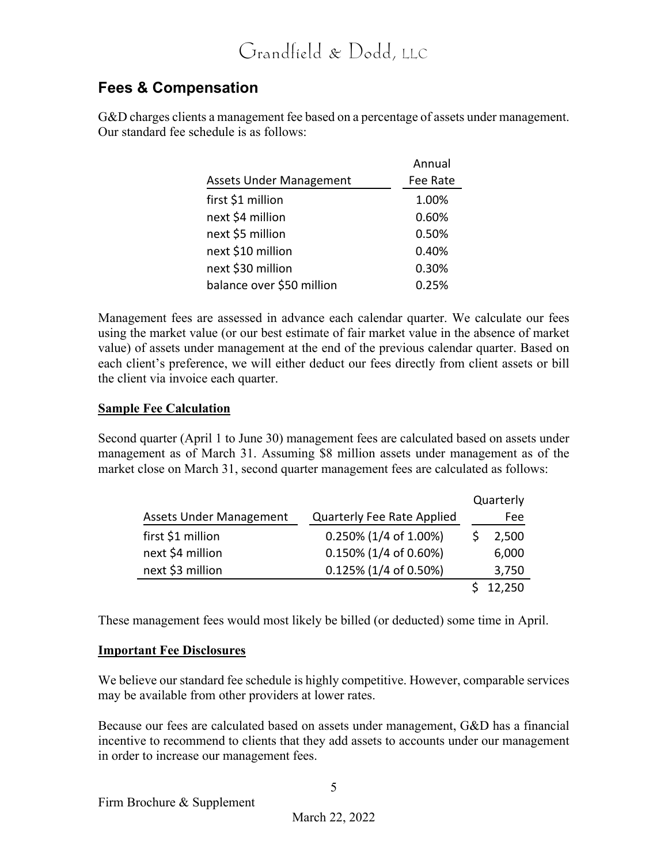### **Fees & Compensation**

G&D charges clients a management fee based on a percentage of assets under management. Our standard fee schedule is as follows:

|                                | Annual   |
|--------------------------------|----------|
| <b>Assets Under Management</b> | Fee Rate |
| first \$1 million              | 1.00%    |
| next \$4 million               | 0.60%    |
| next \$5 million               | 0.50%    |
| next \$10 million              | 0.40%    |
| next \$30 million              | 0.30%    |
| balance over \$50 million      | 0.25%    |

Management fees are assessed in advance each calendar quarter. We calculate our fees using the market value (or our best estimate of fair market value in the absence of market value) of assets under management at the end of the previous calendar quarter. Based on each client's preference, we will either deduct our fees directly from client assets or bill the client via invoice each quarter.

#### **Sample Fee Calculation**

Second quarter (April 1 to June 30) management fees are calculated based on assets under management as of March 31. Assuming \$8 million assets under management as of the market close on March 31, second quarter management fees are calculated as follows:

|                                |                            | Quarterly |
|--------------------------------|----------------------------|-----------|
| <b>Assets Under Management</b> | Quarterly Fee Rate Applied | Fee       |
| first \$1 million              | 0.250% (1/4 of 1.00%)      | 2,500     |
| next \$4 million               | 0.150% (1/4 of 0.60%)      | 6,000     |
| next \$3 million               | 0.125% (1/4 of 0.50%)      | 3,750     |
|                                |                            | 12,250    |

These management fees would most likely be billed (or deducted) some time in April.

#### **Important Fee Disclosures**

We believe our standard fee schedule is highly competitive. However, comparable services may be available from other providers at lower rates.

Because our fees are calculated based on assets under management, G&D has a financial incentive to recommend to clients that they add assets to accounts under our management in order to increase our management fees.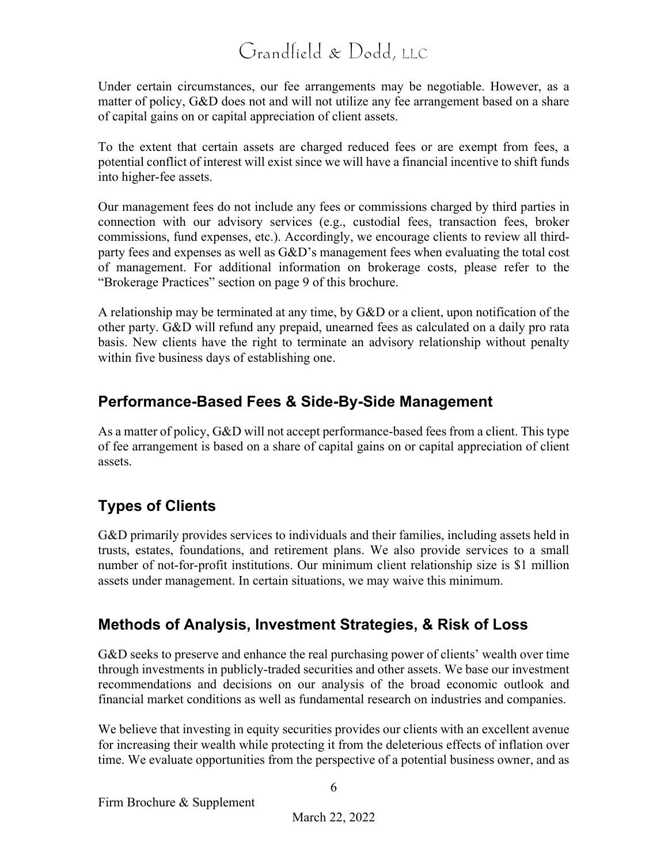Under certain circumstances, our fee arrangements may be negotiable. However, as a matter of policy, G&D does not and will not utilize any fee arrangement based on a share of capital gains on or capital appreciation of client assets.

To the extent that certain assets are charged reduced fees or are exempt from fees, a potential conflict of interest will exist since we will have a financial incentive to shift funds into higher-fee assets.

Our management fees do not include any fees or commissions charged by third parties in connection with our advisory services (e.g., custodial fees, transaction fees, broker commissions, fund expenses, etc.). Accordingly, we encourage clients to review all thirdparty fees and expenses as well as G&D's management fees when evaluating the total cost of management. For additional information on brokerage costs, please refer to the "Brokerage Practices" section on page 9 of this brochure.

A relationship may be terminated at any time, by G&D or a client, upon notification of the other party. G&D will refund any prepaid, unearned fees as calculated on a daily pro rata basis. New clients have the right to terminate an advisory relationship without penalty within five business days of establishing one.

### **Performance-Based Fees & Side-By-Side Management**

As a matter of policy, G&D will not accept performance-based fees from a client. This type of fee arrangement is based on a share of capital gains on or capital appreciation of client assets.

### **Types of Clients**

G&D primarily provides services to individuals and their families, including assets held in trusts, estates, foundations, and retirement plans. We also provide services to a small number of not-for-profit institutions. Our minimum client relationship size is \$1 million assets under management. In certain situations, we may waive this minimum.

### **Methods of Analysis, Investment Strategies, & Risk of Loss**

G&D seeks to preserve and enhance the real purchasing power of clients' wealth over time through investments in publicly-traded securities and other assets. We base our investment recommendations and decisions on our analysis of the broad economic outlook and financial market conditions as well as fundamental research on industries and companies.

We believe that investing in equity securities provides our clients with an excellent avenue for increasing their wealth while protecting it from the deleterious effects of inflation over time. We evaluate opportunities from the perspective of a potential business owner, and as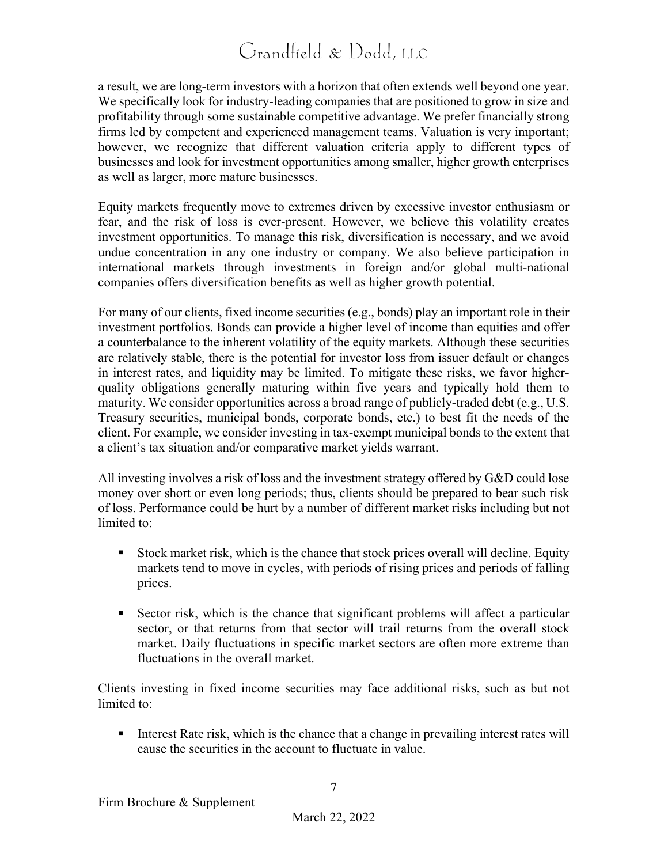a result, we are long-term investors with a horizon that often extends well beyond one year. We specifically look for industry-leading companies that are positioned to grow in size and profitability through some sustainable competitive advantage. We prefer financially strong firms led by competent and experienced management teams. Valuation is very important; however, we recognize that different valuation criteria apply to different types of businesses and look for investment opportunities among smaller, higher growth enterprises as well as larger, more mature businesses.

Equity markets frequently move to extremes driven by excessive investor enthusiasm or fear, and the risk of loss is ever-present. However, we believe this volatility creates investment opportunities. To manage this risk, diversification is necessary, and we avoid undue concentration in any one industry or company. We also believe participation in international markets through investments in foreign and/or global multi-national companies offers diversification benefits as well as higher growth potential.

For many of our clients, fixed income securities (e.g., bonds) play an important role in their investment portfolios. Bonds can provide a higher level of income than equities and offer a counterbalance to the inherent volatility of the equity markets. Although these securities are relatively stable, there is the potential for investor loss from issuer default or changes in interest rates, and liquidity may be limited. To mitigate these risks, we favor higherquality obligations generally maturing within five years and typically hold them to maturity. We consider opportunities across a broad range of publicly-traded debt (e.g., U.S. Treasury securities, municipal bonds, corporate bonds, etc.) to best fit the needs of the client. For example, we consider investing in tax-exempt municipal bonds to the extent that a client's tax situation and/or comparative market yields warrant.

All investing involves a risk of loss and the investment strategy offered by G&D could lose money over short or even long periods; thus, clients should be prepared to bear such risk of loss. Performance could be hurt by a number of different market risks including but not limited to:

- Stock market risk, which is the chance that stock prices overall will decline. Equity markets tend to move in cycles, with periods of rising prices and periods of falling prices.
- Sector risk, which is the chance that significant problems will affect a particular sector, or that returns from that sector will trail returns from the overall stock market. Daily fluctuations in specific market sectors are often more extreme than fluctuations in the overall market.

Clients investing in fixed income securities may face additional risks, such as but not limited to:

Interest Rate risk, which is the chance that a change in prevailing interest rates will cause the securities in the account to fluctuate in value.

7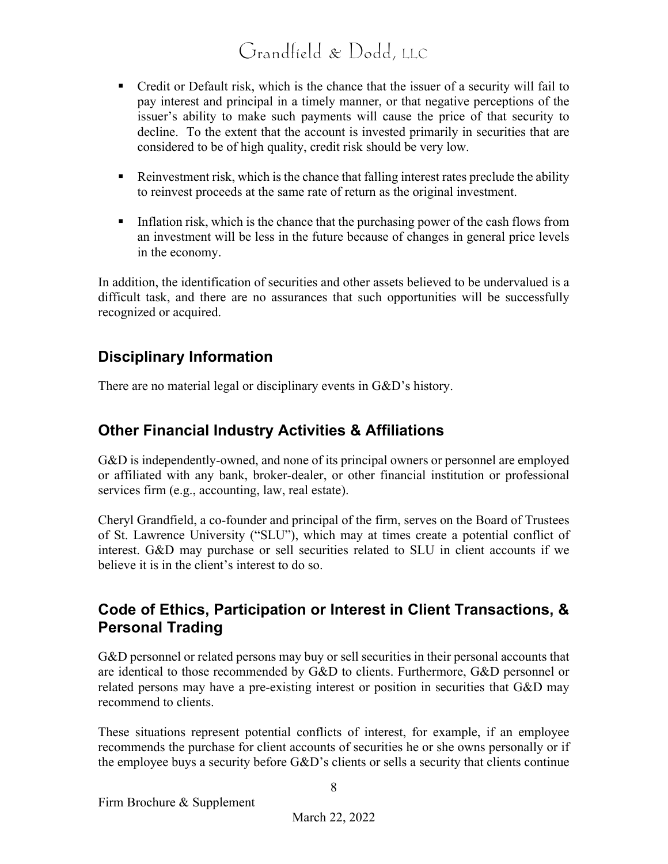- Credit or Default risk, which is the chance that the issuer of a security will fail to pay interest and principal in a timely manner, or that negative perceptions of the issuer's ability to make such payments will cause the price of that security to decline. To the extent that the account is invested primarily in securities that are considered to be of high quality, credit risk should be very low.
- Reinvestment risk, which is the chance that falling interest rates preclude the ability to reinvest proceeds at the same rate of return as the original investment.
- Inflation risk, which is the chance that the purchasing power of the cash flows from an investment will be less in the future because of changes in general price levels in the economy.

In addition, the identification of securities and other assets believed to be undervalued is a difficult task, and there are no assurances that such opportunities will be successfully recognized or acquired.

### **Disciplinary Information**

There are no material legal or disciplinary events in G&D's history.

### **Other Financial Industry Activities & Affiliations**

G&D is independently-owned, and none of its principal owners or personnel are employed or affiliated with any bank, broker-dealer, or other financial institution or professional services firm (e.g., accounting, law, real estate).

Cheryl Grandfield, a co-founder and principal of the firm, serves on the Board of Trustees of St. Lawrence University ("SLU"), which may at times create a potential conflict of interest. G&D may purchase or sell securities related to SLU in client accounts if we believe it is in the client's interest to do so.

### **Code of Ethics, Participation or Interest in Client Transactions, & Personal Trading**

G&D personnel or related persons may buy or sell securities in their personal accounts that are identical to those recommended by G&D to clients. Furthermore, G&D personnel or related persons may have a pre-existing interest or position in securities that G&D may recommend to clients.

These situations represent potential conflicts of interest, for example, if an employee recommends the purchase for client accounts of securities he or she owns personally or if the employee buys a security before G&D's clients or sells a security that clients continue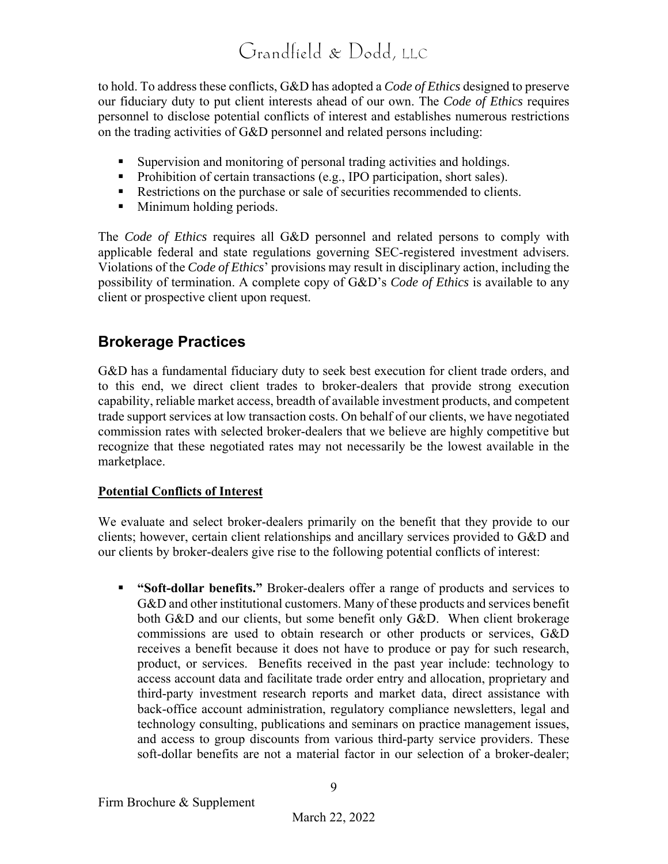to hold. To address these conflicts, G&D has adopted a *Code of Ethics* designed to preserve our fiduciary duty to put client interests ahead of our own. The *Code of Ethics* requires personnel to disclose potential conflicts of interest and establishes numerous restrictions on the trading activities of G&D personnel and related persons including:

- Supervision and monitoring of personal trading activities and holdings.
- Prohibition of certain transactions (e.g., IPO participation, short sales).
- Restrictions on the purchase or sale of securities recommended to clients.
- **Minimum holding periods.**

The *Code of Ethics* requires all G&D personnel and related persons to comply with applicable federal and state regulations governing SEC-registered investment advisers. Violations of the *Code of Ethics*' provisions may result in disciplinary action, including the possibility of termination. A complete copy of G&D's *Code of Ethics* is available to any client or prospective client upon request.

### **Brokerage Practices**

G&D has a fundamental fiduciary duty to seek best execution for client trade orders, and to this end, we direct client trades to broker-dealers that provide strong execution capability, reliable market access, breadth of available investment products, and competent trade support services at low transaction costs. On behalf of our clients, we have negotiated commission rates with selected broker-dealers that we believe are highly competitive but recognize that these negotiated rates may not necessarily be the lowest available in the marketplace.

#### **Potential Conflicts of Interest**

We evaluate and select broker-dealers primarily on the benefit that they provide to our clients; however, certain client relationships and ancillary services provided to G&D and our clients by broker-dealers give rise to the following potential conflicts of interest:

 **"Soft-dollar benefits."** Broker-dealers offer a range of products and services to G&D and other institutional customers. Many of these products and services benefit both G&D and our clients, but some benefit only G&D. When client brokerage commissions are used to obtain research or other products or services, G&D receives a benefit because it does not have to produce or pay for such research, product, or services. Benefits received in the past year include: technology to access account data and facilitate trade order entry and allocation, proprietary and third-party investment research reports and market data, direct assistance with back-office account administration, regulatory compliance newsletters, legal and technology consulting, publications and seminars on practice management issues, and access to group discounts from various third-party service providers. These soft-dollar benefits are not a material factor in our selection of a broker-dealer;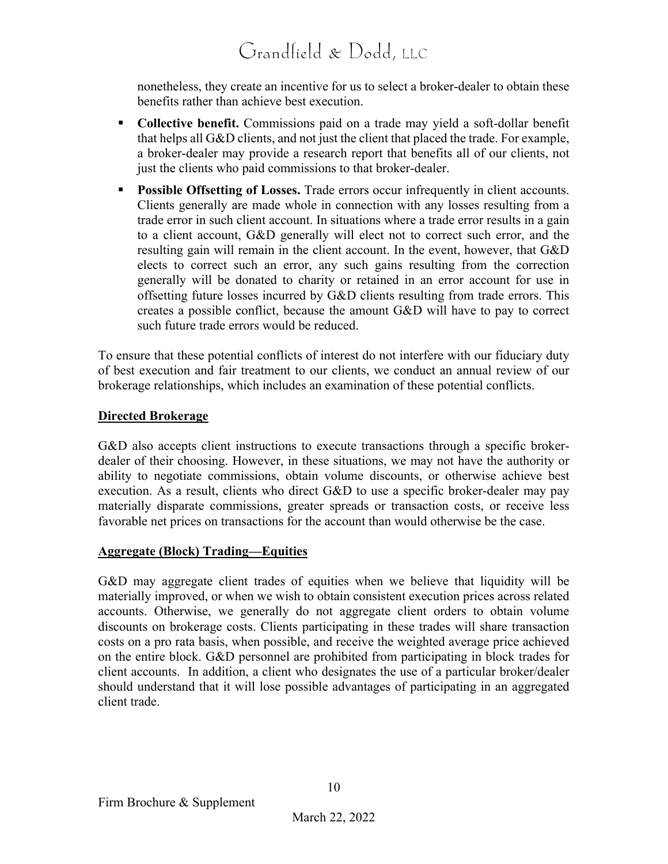nonetheless, they create an incentive for us to select a broker-dealer to obtain these benefits rather than achieve best execution.

- **Collective benefit.** Commissions paid on a trade may yield a soft-dollar benefit that helps all G&D clients, and not just the client that placed the trade. For example, a broker-dealer may provide a research report that benefits all of our clients, not just the clients who paid commissions to that broker-dealer.
- **Possible Offsetting of Losses.** Trade errors occur infrequently in client accounts. Clients generally are made whole in connection with any losses resulting from a trade error in such client account. In situations where a trade error results in a gain to a client account, G&D generally will elect not to correct such error, and the resulting gain will remain in the client account. In the event, however, that G&D elects to correct such an error, any such gains resulting from the correction generally will be donated to charity or retained in an error account for use in offsetting future losses incurred by G&D clients resulting from trade errors. This creates a possible conflict, because the amount G&D will have to pay to correct such future trade errors would be reduced.

To ensure that these potential conflicts of interest do not interfere with our fiduciary duty of best execution and fair treatment to our clients, we conduct an annual review of our brokerage relationships, which includes an examination of these potential conflicts.

#### **Directed Brokerage**

G&D also accepts client instructions to execute transactions through a specific brokerdealer of their choosing. However, in these situations, we may not have the authority or ability to negotiate commissions, obtain volume discounts, or otherwise achieve best execution. As a result, clients who direct G&D to use a specific broker-dealer may pay materially disparate commissions, greater spreads or transaction costs, or receive less favorable net prices on transactions for the account than would otherwise be the case.

#### **Aggregate (Block) Trading—Equities**

G&D may aggregate client trades of equities when we believe that liquidity will be materially improved, or when we wish to obtain consistent execution prices across related accounts. Otherwise, we generally do not aggregate client orders to obtain volume discounts on brokerage costs. Clients participating in these trades will share transaction costs on a pro rata basis, when possible, and receive the weighted average price achieved on the entire block. G&D personnel are prohibited from participating in block trades for client accounts. In addition, a client who designates the use of a particular broker/dealer should understand that it will lose possible advantages of participating in an aggregated client trade.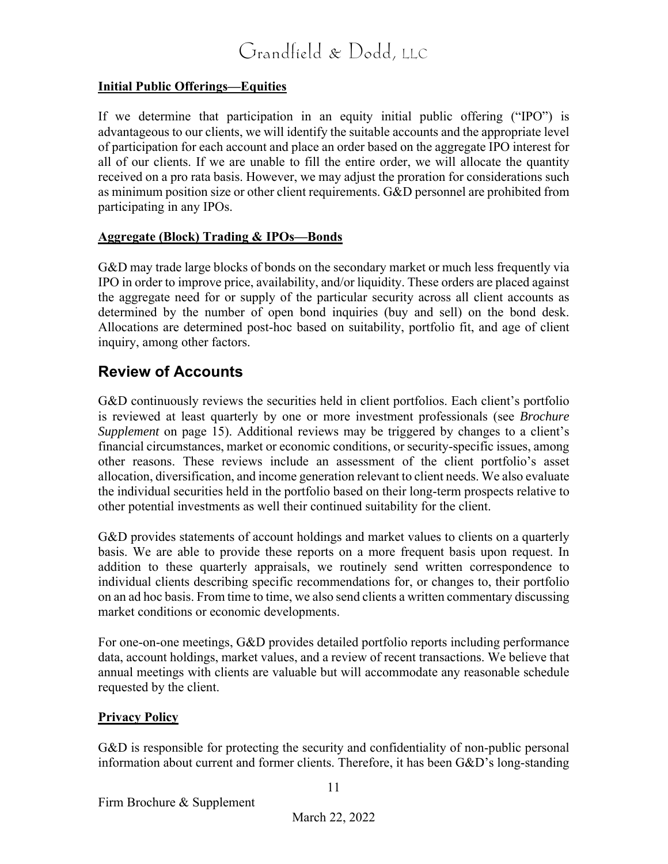#### **Initial Public Offerings—Equities**

If we determine that participation in an equity initial public offering ("IPO") is advantageous to our clients, we will identify the suitable accounts and the appropriate level of participation for each account and place an order based on the aggregate IPO interest for all of our clients. If we are unable to fill the entire order, we will allocate the quantity received on a pro rata basis. However, we may adjust the proration for considerations such as minimum position size or other client requirements. G&D personnel are prohibited from participating in any IPOs.

#### **Aggregate (Block) Trading & IPOs—Bonds**

G&D may trade large blocks of bonds on the secondary market or much less frequently via IPO in order to improve price, availability, and/or liquidity. These orders are placed against the aggregate need for or supply of the particular security across all client accounts as determined by the number of open bond inquiries (buy and sell) on the bond desk. Allocations are determined post-hoc based on suitability, portfolio fit, and age of client inquiry, among other factors.

#### **Review of Accounts**

G&D continuously reviews the securities held in client portfolios. Each client's portfolio is reviewed at least quarterly by one or more investment professionals (see *Brochure Supplement* on page 15). Additional reviews may be triggered by changes to a client's financial circumstances, market or economic conditions, or security-specific issues, among other reasons. These reviews include an assessment of the client portfolio's asset allocation, diversification, and income generation relevant to client needs. We also evaluate the individual securities held in the portfolio based on their long-term prospects relative to other potential investments as well their continued suitability for the client.

G&D provides statements of account holdings and market values to clients on a quarterly basis. We are able to provide these reports on a more frequent basis upon request. In addition to these quarterly appraisals, we routinely send written correspondence to individual clients describing specific recommendations for, or changes to, their portfolio on an ad hoc basis. From time to time, we also send clients a written commentary discussing market conditions or economic developments.

For one-on-one meetings, G&D provides detailed portfolio reports including performance data, account holdings, market values, and a review of recent transactions. We believe that annual meetings with clients are valuable but will accommodate any reasonable schedule requested by the client.

#### **Privacy Policy**

G&D is responsible for protecting the security and confidentiality of non-public personal information about current and former clients. Therefore, it has been G&D's long-standing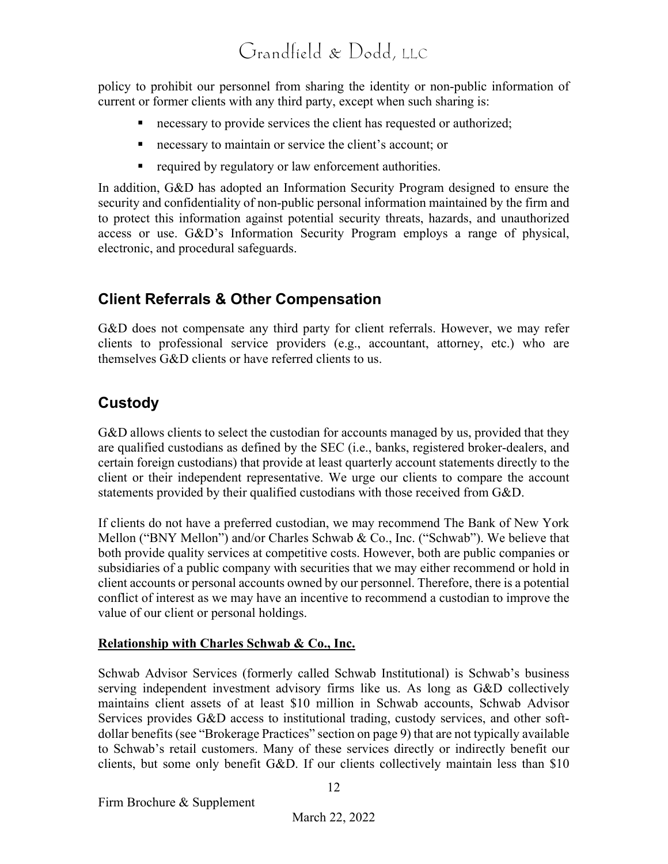policy to prohibit our personnel from sharing the identity or non-public information of current or former clients with any third party, except when such sharing is:

- necessary to provide services the client has requested or authorized;
- necessary to maintain or service the client's account; or
- required by regulatory or law enforcement authorities.

In addition, G&D has adopted an Information Security Program designed to ensure the security and confidentiality of non-public personal information maintained by the firm and to protect this information against potential security threats, hazards, and unauthorized access or use. G&D's Information Security Program employs a range of physical, electronic, and procedural safeguards.

### **Client Referrals & Other Compensation**

G&D does not compensate any third party for client referrals. However, we may refer clients to professional service providers (e.g., accountant, attorney, etc.) who are themselves G&D clients or have referred clients to us.

### **Custody**

G&D allows clients to select the custodian for accounts managed by us, provided that they are qualified custodians as defined by the SEC (i.e., banks, registered broker-dealers, and certain foreign custodians) that provide at least quarterly account statements directly to the client or their independent representative. We urge our clients to compare the account statements provided by their qualified custodians with those received from G&D.

If clients do not have a preferred custodian, we may recommend The Bank of New York Mellon ("BNY Mellon") and/or Charles Schwab & Co., Inc. ("Schwab"). We believe that both provide quality services at competitive costs. However, both are public companies or subsidiaries of a public company with securities that we may either recommend or hold in client accounts or personal accounts owned by our personnel. Therefore, there is a potential conflict of interest as we may have an incentive to recommend a custodian to improve the value of our client or personal holdings.

#### **Relationship with Charles Schwab & Co., Inc.**

Schwab Advisor Services (formerly called Schwab Institutional) is Schwab's business serving independent investment advisory firms like us. As long as G&D collectively maintains client assets of at least \$10 million in Schwab accounts, Schwab Advisor Services provides G&D access to institutional trading, custody services, and other softdollar benefits (see "Brokerage Practices" section on page 9) that are not typically available to Schwab's retail customers. Many of these services directly or indirectly benefit our clients, but some only benefit G&D. If our clients collectively maintain less than \$10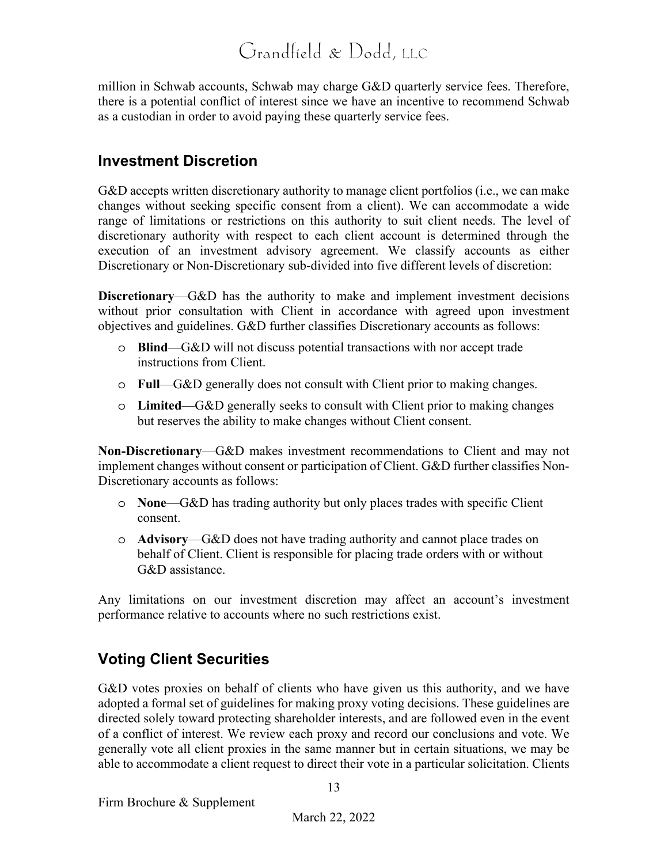million in Schwab accounts, Schwab may charge G&D quarterly service fees. Therefore, there is a potential conflict of interest since we have an incentive to recommend Schwab as a custodian in order to avoid paying these quarterly service fees.

#### **Investment Discretion**

G&D accepts written discretionary authority to manage client portfolios (i.e., we can make changes without seeking specific consent from a client). We can accommodate a wide range of limitations or restrictions on this authority to suit client needs. The level of discretionary authority with respect to each client account is determined through the execution of an investment advisory agreement. We classify accounts as either Discretionary or Non-Discretionary sub-divided into five different levels of discretion:

**Discretionary**—G&D has the authority to make and implement investment decisions without prior consultation with Client in accordance with agreed upon investment objectives and guidelines. G&D further classifies Discretionary accounts as follows:

- o **Blind**—G&D will not discuss potential transactions with nor accept trade instructions from Client.
- o **Full**—G&D generally does not consult with Client prior to making changes.
- o **Limited**—G&D generally seeks to consult with Client prior to making changes but reserves the ability to make changes without Client consent.

**Non-Discretionary**—G&D makes investment recommendations to Client and may not implement changes without consent or participation of Client. G&D further classifies Non-Discretionary accounts as follows:

- o **None**—G&D has trading authority but only places trades with specific Client consent.
- o **Advisory**—G&D does not have trading authority and cannot place trades on behalf of Client. Client is responsible for placing trade orders with or without G&D assistance.

Any limitations on our investment discretion may affect an account's investment performance relative to accounts where no such restrictions exist.

### **Voting Client Securities**

G&D votes proxies on behalf of clients who have given us this authority, and we have adopted a formal set of guidelines for making proxy voting decisions. These guidelines are directed solely toward protecting shareholder interests, and are followed even in the event of a conflict of interest. We review each proxy and record our conclusions and vote. We generally vote all client proxies in the same manner but in certain situations, we may be able to accommodate a client request to direct their vote in a particular solicitation. Clients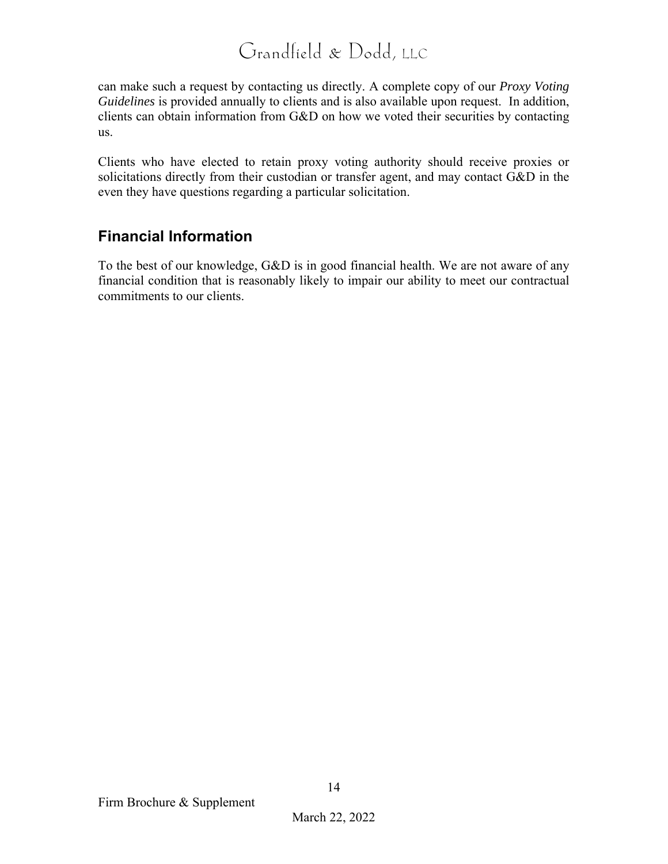can make such a request by contacting us directly. A complete copy of our *Proxy Voting Guidelines* is provided annually to clients and is also available upon request. In addition, clients can obtain information from G&D on how we voted their securities by contacting us.

Clients who have elected to retain proxy voting authority should receive proxies or solicitations directly from their custodian or transfer agent, and may contact G&D in the even they have questions regarding a particular solicitation.

### **Financial Information**

To the best of our knowledge, G&D is in good financial health. We are not aware of any financial condition that is reasonably likely to impair our ability to meet our contractual commitments to our clients.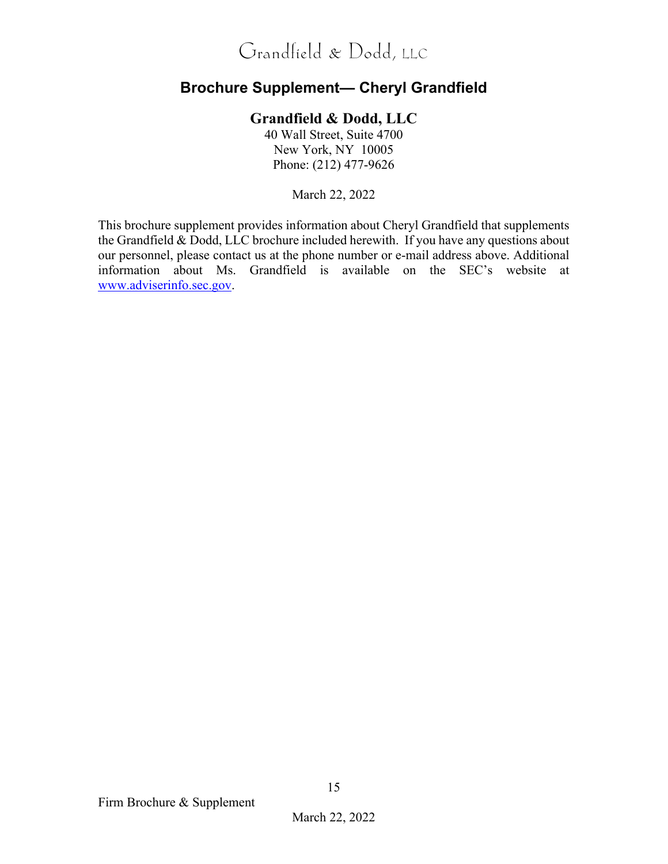### **Brochure Supplement— Cheryl Grandfield**

#### **Grandfield & Dodd, LLC**

40 Wall Street, Suite 4700 New York, NY 10005 Phone: (212) 477-9626

March 22, 2022

This brochure supplement provides information about Cheryl Grandfield that supplements the Grandfield & Dodd, LLC brochure included herewith. If you have any questions about our personnel, please contact us at the phone number or e-mail address above. Additional information about Ms. Grandfield is available on the SEC's website at www.adviserinfo.sec.gov.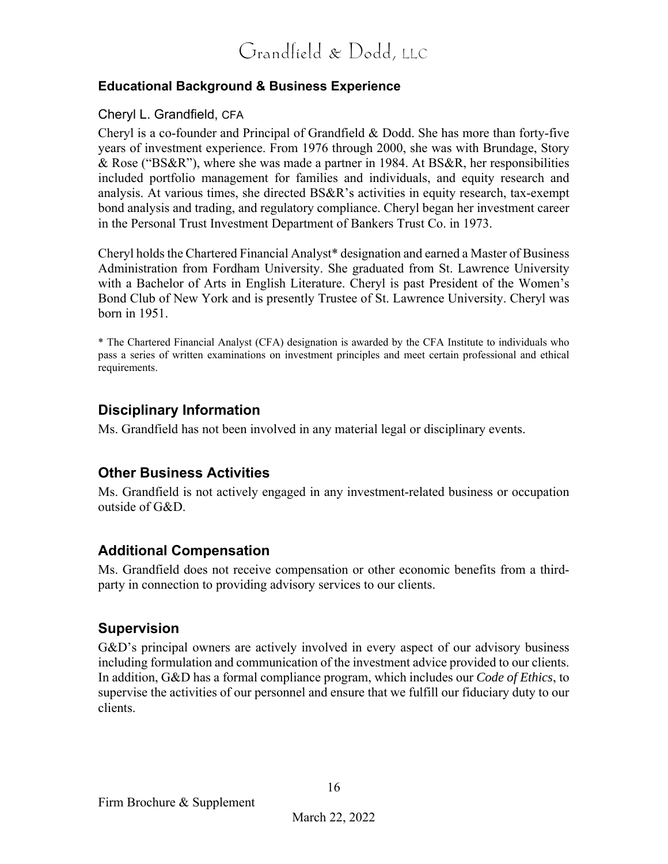#### **Educational Background & Business Experience**

#### Cheryl L. Grandfield, CFA

Cheryl is a co-founder and Principal of Grandfield & Dodd. She has more than forty-five years of investment experience. From 1976 through 2000, she was with Brundage, Story & Rose ("BS&R"), where she was made a partner in 1984. At BS&R, her responsibilities included portfolio management for families and individuals, and equity research and analysis. At various times, she directed BS&R's activities in equity research, tax-exempt bond analysis and trading, and regulatory compliance. Cheryl began her investment career in the Personal Trust Investment Department of Bankers Trust Co. in 1973.

Cheryl holds the Chartered Financial Analyst\* designation and earned a Master of Business Administration from Fordham University. She graduated from St. Lawrence University with a Bachelor of Arts in English Literature. Cheryl is past President of the Women's Bond Club of New York and is presently Trustee of St. Lawrence University. Cheryl was born in 1951.

\* The Chartered Financial Analyst (CFA) designation is awarded by the CFA Institute to individuals who pass a series of written examinations on investment principles and meet certain professional and ethical requirements.

#### **Disciplinary Information**

Ms. Grandfield has not been involved in any material legal or disciplinary events.

#### **Other Business Activities**

Ms. Grandfield is not actively engaged in any investment-related business or occupation outside of G&D.

#### **Additional Compensation**

Ms. Grandfield does not receive compensation or other economic benefits from a thirdparty in connection to providing advisory services to our clients.

#### **Supervision**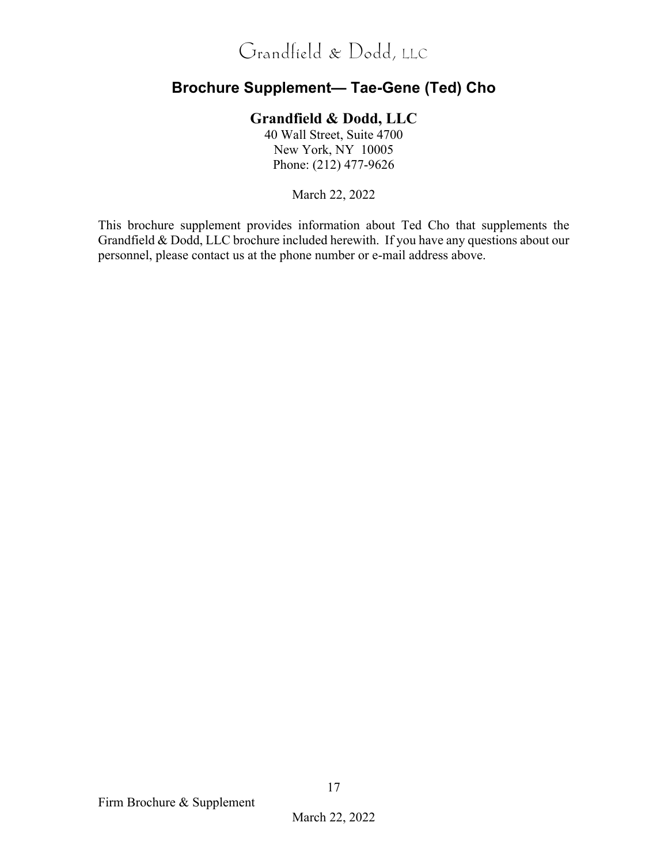### **Brochure Supplement— Tae-Gene (Ted) Cho**

#### **Grandfield & Dodd, LLC**

40 Wall Street, Suite 4700 New York, NY 10005 Phone: (212) 477-9626

March 22, 2022

This brochure supplement provides information about Ted Cho that supplements the Grandfield & Dodd, LLC brochure included herewith. If you have any questions about our personnel, please contact us at the phone number or e-mail address above.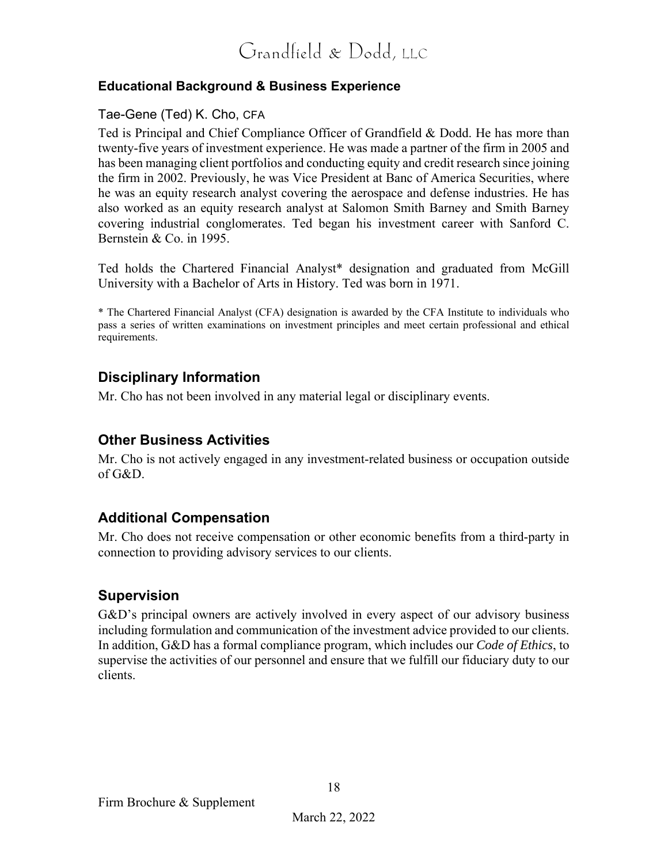#### **Educational Background & Business Experience**

#### Tae-Gene (Ted) K. Cho, CFA

Ted is Principal and Chief Compliance Officer of Grandfield & Dodd. He has more than twenty-five years of investment experience. He was made a partner of the firm in 2005 and has been managing client portfolios and conducting equity and credit research since joining the firm in 2002. Previously, he was Vice President at Banc of America Securities, where he was an equity research analyst covering the aerospace and defense industries. He has also worked as an equity research analyst at Salomon Smith Barney and Smith Barney covering industrial conglomerates. Ted began his investment career with Sanford C. Bernstein & Co. in 1995.

Ted holds the Chartered Financial Analyst\* designation and graduated from McGill University with a Bachelor of Arts in History. Ted was born in 1971.

\* The Chartered Financial Analyst (CFA) designation is awarded by the CFA Institute to individuals who pass a series of written examinations on investment principles and meet certain professional and ethical requirements.

#### **Disciplinary Information**

Mr. Cho has not been involved in any material legal or disciplinary events.

#### **Other Business Activities**

Mr. Cho is not actively engaged in any investment-related business or occupation outside of G&D.

#### **Additional Compensation**

Mr. Cho does not receive compensation or other economic benefits from a third-party in connection to providing advisory services to our clients.

#### **Supervision**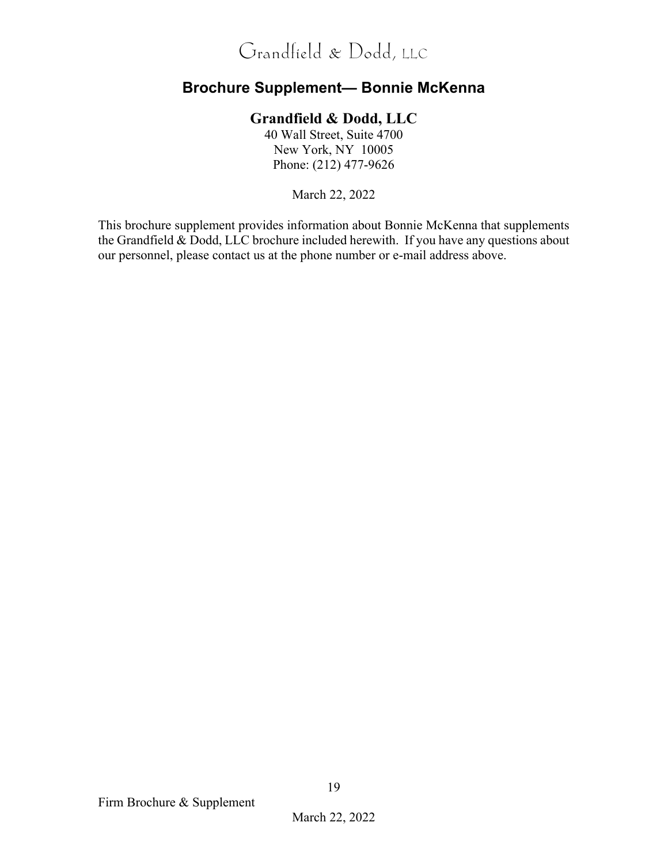### **Brochure Supplement— Bonnie McKenna**

#### **Grandfield & Dodd, LLC**

40 Wall Street, Suite 4700 New York, NY 10005 Phone: (212) 477-9626

March 22, 2022

This brochure supplement provides information about Bonnie McKenna that supplements the Grandfield & Dodd, LLC brochure included herewith. If you have any questions about our personnel, please contact us at the phone number or e-mail address above.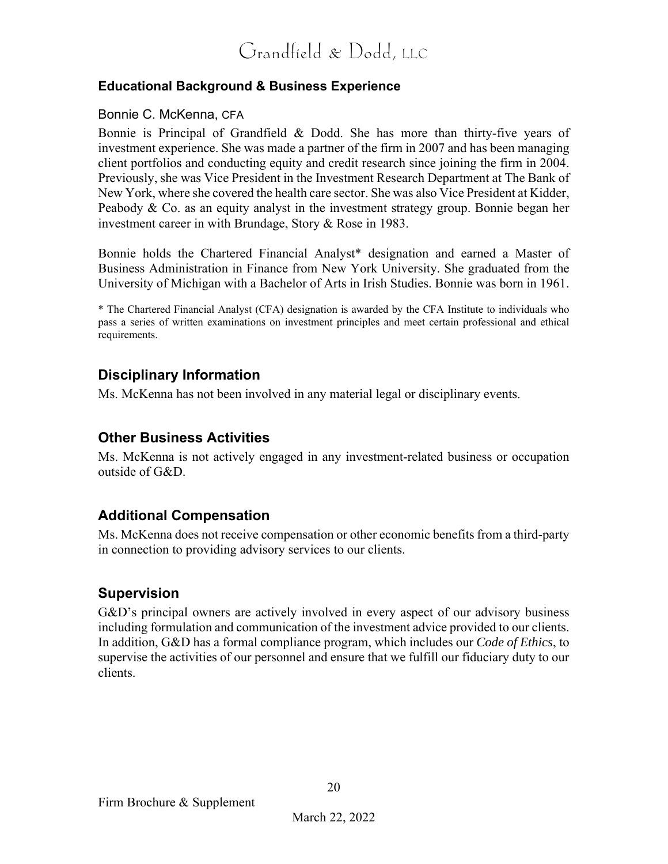#### **Educational Background & Business Experience**

#### Bonnie C. McKenna, CFA

Bonnie is Principal of Grandfield & Dodd. She has more than thirty-five years of investment experience. She was made a partner of the firm in 2007 and has been managing client portfolios and conducting equity and credit research since joining the firm in 2004. Previously, she was Vice President in the Investment Research Department at The Bank of New York, where she covered the health care sector. She was also Vice President at Kidder, Peabody & Co. as an equity analyst in the investment strategy group. Bonnie began her investment career in with Brundage, Story & Rose in 1983.

Bonnie holds the Chartered Financial Analyst\* designation and earned a Master of Business Administration in Finance from New York University. She graduated from the University of Michigan with a Bachelor of Arts in Irish Studies. Bonnie was born in 1961.

\* The Chartered Financial Analyst (CFA) designation is awarded by the CFA Institute to individuals who pass a series of written examinations on investment principles and meet certain professional and ethical requirements.

#### **Disciplinary Information**

Ms. McKenna has not been involved in any material legal or disciplinary events.

#### **Other Business Activities**

Ms. McKenna is not actively engaged in any investment-related business or occupation outside of G&D.

#### **Additional Compensation**

Ms. McKenna does not receive compensation or other economic benefits from a third-party in connection to providing advisory services to our clients.

#### **Supervision**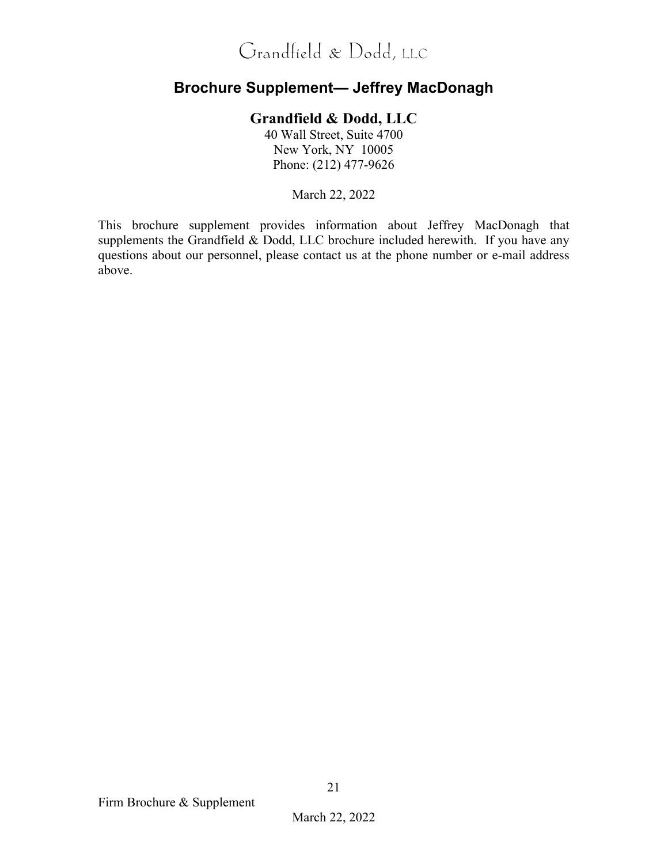### **Brochure Supplement— Jeffrey MacDonagh**

#### **Grandfield & Dodd, LLC**

40 Wall Street, Suite 4700 New York, NY 10005 Phone: (212) 477-9626

March 22, 2022

This brochure supplement provides information about Jeffrey MacDonagh that supplements the Grandfield & Dodd, LLC brochure included herewith. If you have any questions about our personnel, please contact us at the phone number or e-mail address above.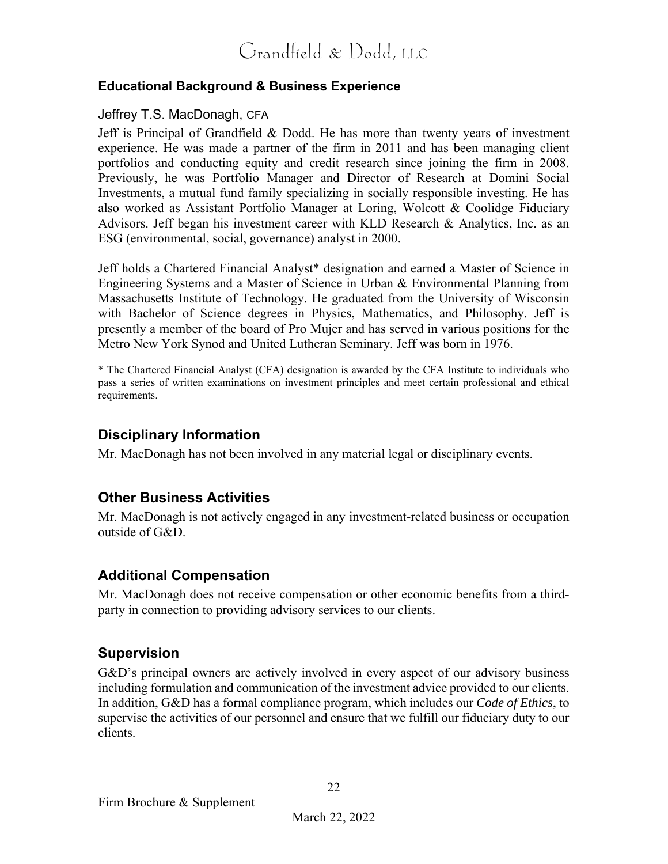#### **Educational Background & Business Experience**

#### Jeffrey T.S. MacDonagh, CFA

Jeff is Principal of Grandfield & Dodd. He has more than twenty years of investment experience. He was made a partner of the firm in 2011 and has been managing client portfolios and conducting equity and credit research since joining the firm in 2008. Previously, he was Portfolio Manager and Director of Research at Domini Social Investments, a mutual fund family specializing in socially responsible investing. He has also worked as Assistant Portfolio Manager at Loring, Wolcott & Coolidge Fiduciary Advisors. Jeff began his investment career with KLD Research & Analytics, Inc. as an ESG (environmental, social, governance) analyst in 2000.

Jeff holds a Chartered Financial Analyst\* designation and earned a Master of Science in Engineering Systems and a Master of Science in Urban & Environmental Planning from Massachusetts Institute of Technology. He graduated from the University of Wisconsin with Bachelor of Science degrees in Physics, Mathematics, and Philosophy. Jeff is presently a member of the board of Pro Mujer and has served in various positions for the Metro New York Synod and United Lutheran Seminary. Jeff was born in 1976.

\* The Chartered Financial Analyst (CFA) designation is awarded by the CFA Institute to individuals who pass a series of written examinations on investment principles and meet certain professional and ethical requirements.

#### **Disciplinary Information**

Mr. MacDonagh has not been involved in any material legal or disciplinary events.

### **Other Business Activities**

Mr. MacDonagh is not actively engaged in any investment-related business or occupation outside of G&D.

#### **Additional Compensation**

Mr. MacDonagh does not receive compensation or other economic benefits from a thirdparty in connection to providing advisory services to our clients.

#### **Supervision**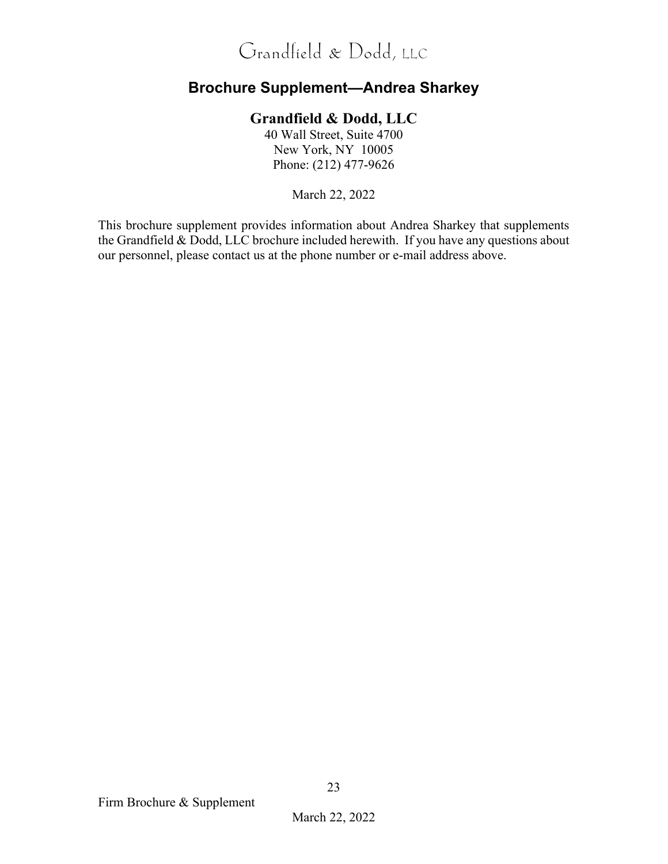### **Brochure Supplement—Andrea Sharkey**

#### **Grandfield & Dodd, LLC**

40 Wall Street, Suite 4700 New York, NY 10005 Phone: (212) 477-9626

March 22, 2022

This brochure supplement provides information about Andrea Sharkey that supplements the Grandfield & Dodd, LLC brochure included herewith. If you have any questions about our personnel, please contact us at the phone number or e-mail address above.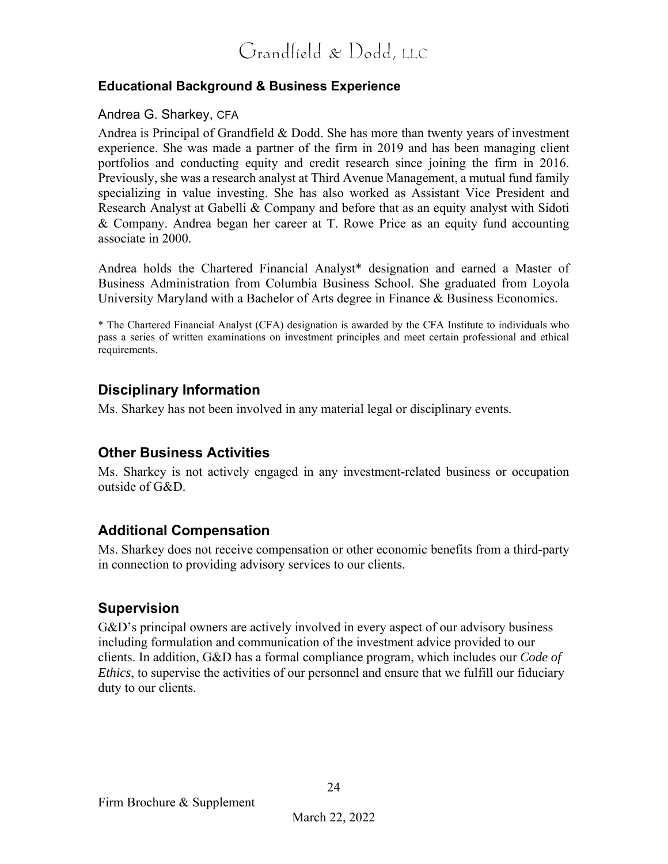#### **Educational Background & Business Experience**

#### Andrea G. Sharkey, CFA

Andrea is Principal of Grandfield & Dodd. She has more than twenty years of investment experience. She was made a partner of the firm in 2019 and has been managing client portfolios and conducting equity and credit research since joining the firm in 2016. Previously, she was a research analyst at Third Avenue Management, a mutual fund family specializing in value investing. She has also worked as Assistant Vice President and Research Analyst at Gabelli & Company and before that as an equity analyst with Sidoti & Company. Andrea began her career at T. Rowe Price as an equity fund accounting associate in 2000.

Andrea holds the Chartered Financial Analyst\* designation and earned a Master of Business Administration from Columbia Business School. She graduated from Loyola University Maryland with a Bachelor of Arts degree in Finance & Business Economics.

\* The Chartered Financial Analyst (CFA) designation is awarded by the CFA Institute to individuals who pass a series of written examinations on investment principles and meet certain professional and ethical requirements.

#### **Disciplinary Information**

Ms. Sharkey has not been involved in any material legal or disciplinary events.

#### **Other Business Activities**

Ms. Sharkey is not actively engaged in any investment-related business or occupation outside of G&D.

#### **Additional Compensation**

Ms. Sharkey does not receive compensation or other economic benefits from a third-party in connection to providing advisory services to our clients.

#### **Supervision**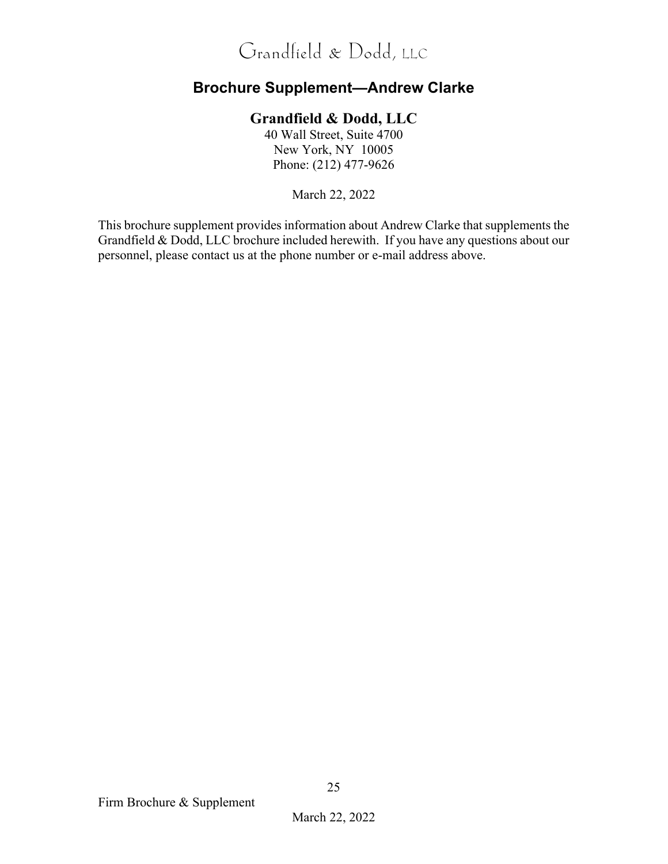### **Brochure Supplement—Andrew Clarke**

#### **Grandfield & Dodd, LLC**

40 Wall Street, Suite 4700 New York, NY 10005 Phone: (212) 477-9626

March 22, 2022

This brochure supplement provides information about Andrew Clarke that supplements the Grandfield & Dodd, LLC brochure included herewith. If you have any questions about our personnel, please contact us at the phone number or e-mail address above.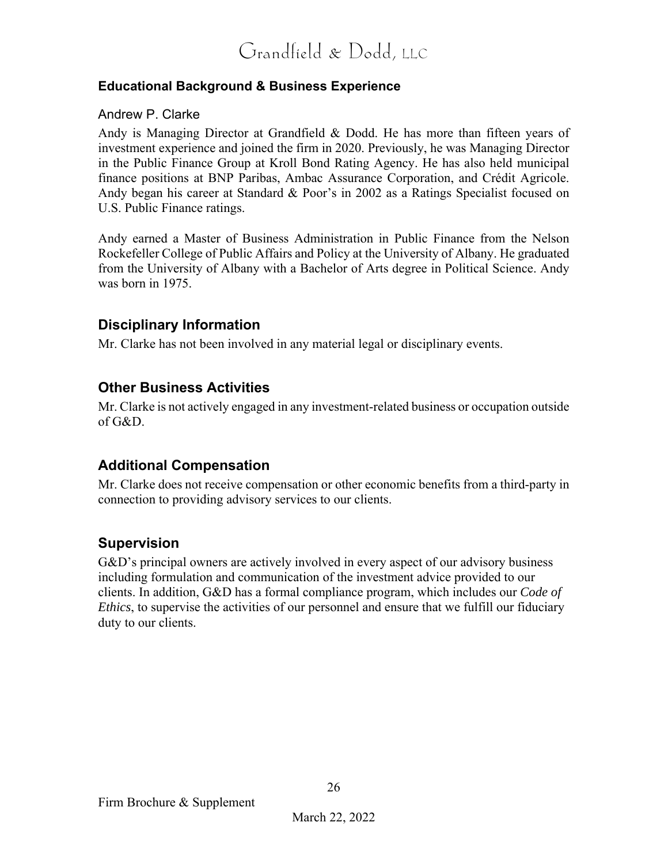#### **Educational Background & Business Experience**

#### Andrew P. Clarke

Andy is Managing Director at Grandfield & Dodd. He has more than fifteen years of investment experience and joined the firm in 2020. Previously, he was Managing Director in the Public Finance Group at Kroll Bond Rating Agency. He has also held municipal finance positions at BNP Paribas, Ambac Assurance Corporation, and Crédit Agricole. Andy began his career at Standard & Poor's in 2002 as a Ratings Specialist focused on U.S. Public Finance ratings.

Andy earned a Master of Business Administration in Public Finance from the Nelson Rockefeller College of Public Affairs and Policy at the University of Albany. He graduated from the University of Albany with a Bachelor of Arts degree in Political Science. Andy was born in 1975.

#### **Disciplinary Information**

Mr. Clarke has not been involved in any material legal or disciplinary events.

#### **Other Business Activities**

Mr. Clarke is not actively engaged in any investment-related business or occupation outside of G&D.

#### **Additional Compensation**

Mr. Clarke does not receive compensation or other economic benefits from a third-party in connection to providing advisory services to our clients.

#### **Supervision**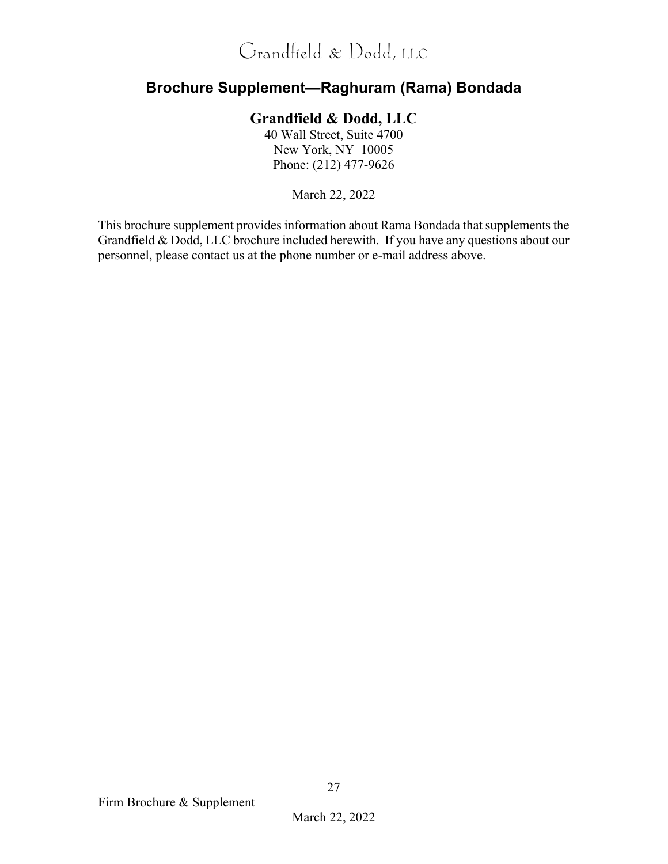### **Brochure Supplement—Raghuram (Rama) Bondada**

### **Grandfield & Dodd, LLC**

40 Wall Street, Suite 4700 New York, NY 10005 Phone: (212) 477-9626

March 22, 2022

This brochure supplement provides information about Rama Bondada that supplements the Grandfield & Dodd, LLC brochure included herewith. If you have any questions about our personnel, please contact us at the phone number or e-mail address above.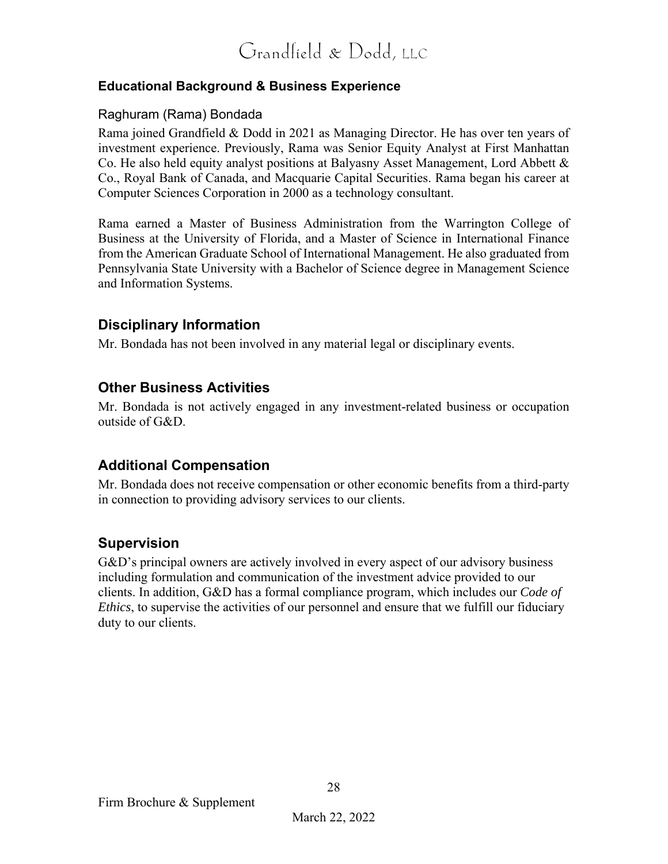#### **Educational Background & Business Experience**

#### Raghuram (Rama) Bondada

Rama joined Grandfield & Dodd in 2021 as Managing Director. He has over ten years of investment experience. Previously, Rama was Senior Equity Analyst at First Manhattan Co. He also held equity analyst positions at Balyasny Asset Management, Lord Abbett & Co., Royal Bank of Canada, and Macquarie Capital Securities. Rama began his career at Computer Sciences Corporation in 2000 as a technology consultant.

Rama earned a Master of Business Administration from the Warrington College of Business at the University of Florida, and a Master of Science in International Finance from the American Graduate School of International Management. He also graduated from Pennsylvania State University with a Bachelor of Science degree in Management Science and Information Systems.

#### **Disciplinary Information**

Mr. Bondada has not been involved in any material legal or disciplinary events.

#### **Other Business Activities**

Mr. Bondada is not actively engaged in any investment-related business or occupation outside of G&D.

#### **Additional Compensation**

Mr. Bondada does not receive compensation or other economic benefits from a third-party in connection to providing advisory services to our clients.

#### **Supervision**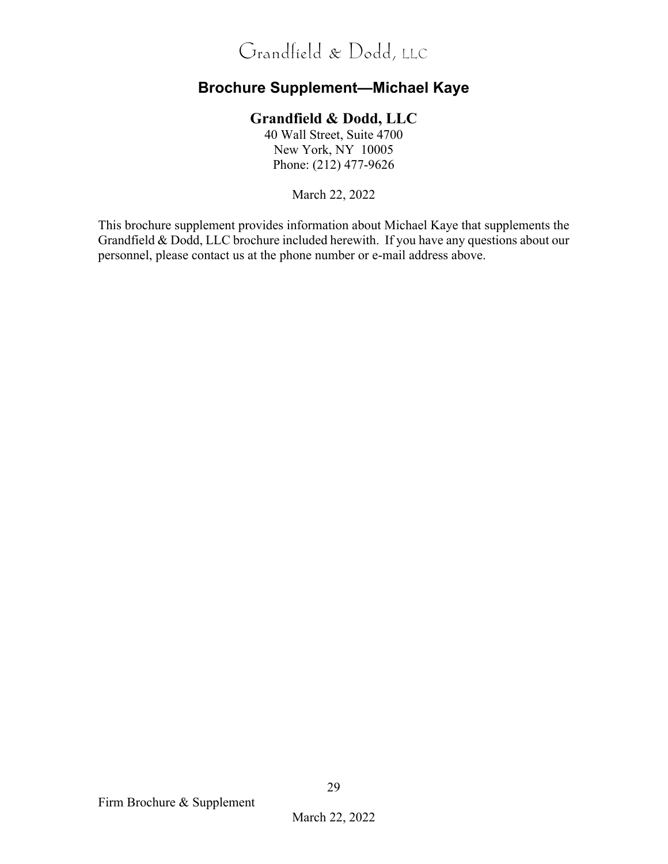### **Brochure Supplement—Michael Kaye**

### **Grandfield & Dodd, LLC**

40 Wall Street, Suite 4700 New York, NY 10005 Phone: (212) 477-9626

March 22, 2022

This brochure supplement provides information about Michael Kaye that supplements the Grandfield & Dodd, LLC brochure included herewith. If you have any questions about our personnel, please contact us at the phone number or e-mail address above.